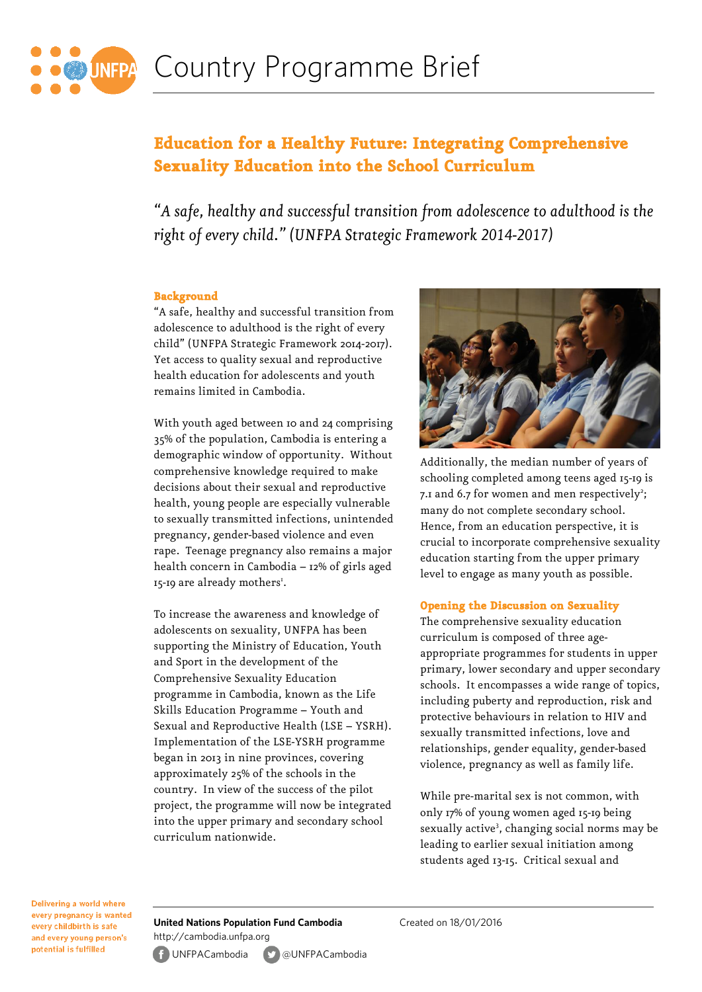

# **Education for a Healthy Future: Integrating Comprehensive Sexuality Education into the School Curriculum**

*"A safe, healthy and successful transition from adolescence to adulthood is the right of every child." (UNFPA Strategic Framework 2014-2017)*

#### **Background**

"A safe, healthy and successful transition from adolescence to adulthood is the right of every child" (UNFPA Strategic Framework 2014-2017). Yet access to quality sexual and reproductive health education for adolescents and youth remains limited in Cambodia.

With youth aged between 10 and 24 comprising 35% of the population, Cambodia is entering a demographic window of opportunity. Without comprehensive knowledge required to make decisions about their sexual and reproductive health, young people are especially vulnerable to sexually transmitted infections, unintended pregnancy, gender-based violence and even rape. Teenage pregnancy also remains a major health concern in Cambodia – 12% of girls aged 15-19 are already mothers<sup>1</sup>.

To increase the awareness and knowledge of adolescents on sexuality, UNFPA has been supporting the Ministry of Education, Youth and Sport in the development of the Comprehensive Sexuality Education programme in Cambodia, known as the Life Skills Education Programme – Youth and Sexual and Reproductive Health (LSE – YSRH). Implementation of the LSE-YSRH programme began in 2013 in nine provinces, covering approximately 25% of the schools in the country. In view of the success of the pilot project, the programme will now be integrated into the upper primary and secondary school curriculum nationwide.



Additionally, the median number of years of schooling completed among teens aged 15-19 is 7.1 and 6.7 for women and men respectively<sup>2</sup>; many do not complete secondary school. Hence, from an education perspective, it is crucial to incorporate comprehensive sexuality education starting from the upper primary level to engage as many youth as possible.

### **Opening the Discussion on Sexuality**

The comprehensive sexuality education curriculum is composed of three ageappropriate programmes for students in upper primary, lower secondary and upper secondary schools. It encompasses a wide range of topics, including puberty and reproduction, risk and protective behaviours in relation to HIV and sexually transmitted infections, love and relationships, gender equality, gender-based violence, pregnancy as well as family life.

While pre-marital sex is not common, with only 17% of young women aged 15-19 being sexually active<sup>3</sup>, changing social norms may be leading to earlier sexual initiation among students aged 13-15. Critical sexual and

Delivering a world where every pregnancy is wanted every childbirth is safe and every young person's potential is fulfilled